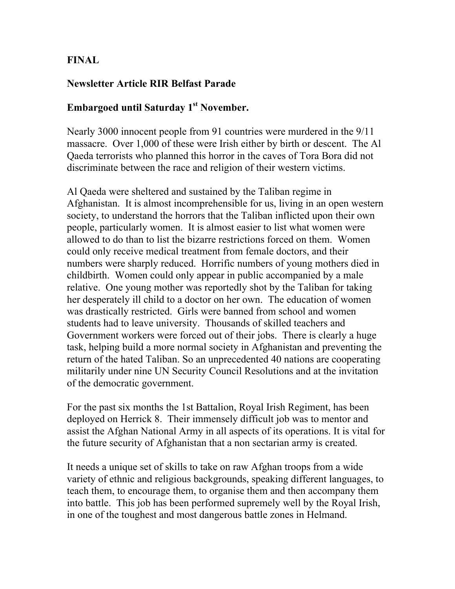## FINAL

## Newsletter Article RIR Belfast Parade

## Embargoed until Saturday 1<sup>st</sup> November.

Nearly 3000 innocent people from 91 countries were murdered in the 9/11 massacre. Over 1,000 of these were Irish either by birth or descent. The Al Qaeda terrorists who planned this horror in the caves of Tora Bora did not discriminate between the race and religion of their western victims.

Al Qaeda were sheltered and sustained by the Taliban regime in Afghanistan. It is almost incomprehensible for us, living in an open western society, to understand the horrors that the Taliban inflicted upon their own people, particularly women. It is almost easier to list what women were allowed to do than to list the bizarre restrictions forced on them. Women could only receive medical treatment from female doctors, and their numbers were sharply reduced. Horrific numbers of young mothers died in childbirth. Women could only appear in public accompanied by a male relative. One young mother was reportedly shot by the Taliban for taking her desperately ill child to a doctor on her own. The education of women was drastically restricted. Girls were banned from school and women students had to leave university. Thousands of skilled teachers and Government workers were forced out of their jobs. There is clearly a huge task, helping build a more normal society in Afghanistan and preventing the return of the hated Taliban. So an unprecedented 40 nations are cooperating militarily under nine UN Security Council Resolutions and at the invitation of the democratic government.

For the past six months the 1st Battalion, Royal Irish Regiment, has been deployed on Herrick 8. Their immensely difficult job was to mentor and assist the Afghan National Army in all aspects of its operations. It is vital for the future security of Afghanistan that a non sectarian army is created.

It needs a unique set of skills to take on raw Afghan troops from a wide variety of ethnic and religious backgrounds, speaking different languages, to teach them, to encourage them, to organise them and then accompany them into battle. This job has been performed supremely well by the Royal Irish, in one of the toughest and most dangerous battle zones in Helmand.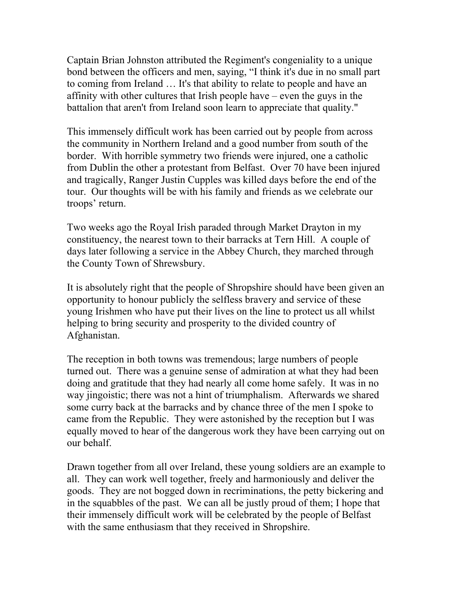Captain Brian Johnston attributed the Regiment's congeniality to a unique bond between the officers and men, saying, "I think it's due in no small part to coming from Ireland … It's that ability to relate to people and have an affinity with other cultures that Irish people have – even the guys in the battalion that aren't from Ireland soon learn to appreciate that quality."

This immensely difficult work has been carried out by people from across the community in Northern Ireland and a good number from south of the border. With horrible symmetry two friends were injured, one a catholic from Dublin the other a protestant from Belfast. Over 70 have been injured and tragically, Ranger Justin Cupples was killed days before the end of the tour. Our thoughts will be with his family and friends as we celebrate our troops' return.

Two weeks ago the Royal Irish paraded through Market Drayton in my constituency, the nearest town to their barracks at Tern Hill. A couple of days later following a service in the Abbey Church, they marched through the County Town of Shrewsbury.

It is absolutely right that the people of Shropshire should have been given an opportunity to honour publicly the selfless bravery and service of these young Irishmen who have put their lives on the line to protect us all whilst helping to bring security and prosperity to the divided country of Afghanistan.

The reception in both towns was tremendous; large numbers of people turned out. There was a genuine sense of admiration at what they had been doing and gratitude that they had nearly all come home safely. It was in no way jingoistic; there was not a hint of triumphalism. Afterwards we shared some curry back at the barracks and by chance three of the men I spoke to came from the Republic. They were astonished by the reception but I was equally moved to hear of the dangerous work they have been carrying out on our behalf.

Drawn together from all over Ireland, these young soldiers are an example to all. They can work well together, freely and harmoniously and deliver the goods. They are not bogged down in recriminations, the petty bickering and in the squabbles of the past. We can all be justly proud of them; I hope that their immensely difficult work will be celebrated by the people of Belfast with the same enthusiasm that they received in Shropshire.